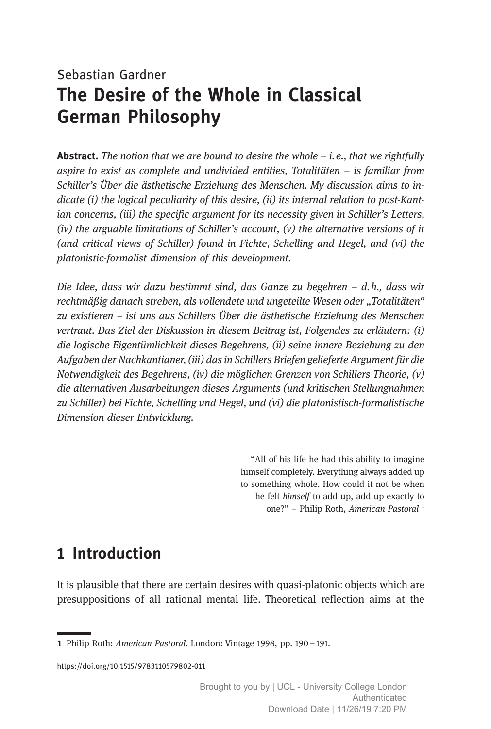# Sebastian Gardner The Desire of the Whole in Classical German Philosophy

**Abstract.** The notion that we are bound to desire the whole  $-$  *i.e., that we rightfully* aspire to exist as complete and undivided entities, Totalitäten – is familiar from Schiller's Über die ästhetische Erziehung des Menschen. My discussion aims to indicate (i) the logical peculiarity of this desire, (ii) its internal relation to post-Kantian concerns, (iii) the specific argument for its necessity given in Schiller's Letters,  $(iv)$  the arguable limitations of Schiller's account,  $(v)$  the alternative versions of it (and critical views of Schiller) found in Fichte, Schelling and Hegel, and (vi) the platonistic-formalist dimension of this development.

Die Idee, dass wir dazu bestimmt sind, das Ganze zu begehren  $-$  d.h., dass wir rechtmäßig danach streben, als vollendete und ungeteilte Wesen oder "Totalitäten" zu existieren ‒ ist uns aus Schillers Über die ästhetische Erziehung des Menschen vertraut. Das Ziel der Diskussion in diesem Beitrag ist, Folgendes zu erläutern: (i) die logische Eigentümlichkeit dieses Begehrens, (ii) seine innere Beziehung zu den Aufgaben der Nachkantianer, (iii) das in Schillers Briefen gelieferte Argument für die Notwendigkeit des Begehrens, (iv) die möglichen Grenzen von Schillers Theorie, (v) die alternativen Ausarbeitungen dieses Arguments (und kritischen Stellungnahmen zu Schiller) bei Fichte, Schelling und Hegel, und (vi) die platonistisch-formalistische Dimension dieser Entwicklung.

> "All of his life he had this ability to imagine himself completely. Everything always added up to something whole. How could it not be when he felt himself to add up, add up exactly to one?" - Philip Roth, American Pastoral<sup>1</sup>

### 1 Introduction

It is plausible that there are certain desires with quasi-platonic objects which are presuppositions of all rational mental life. Theoretical reflection aims at the

https://doi.org/10.1515/9783110579802-011

Philip Roth: American Pastoral. London: Vintage 1998, pp. 190–191.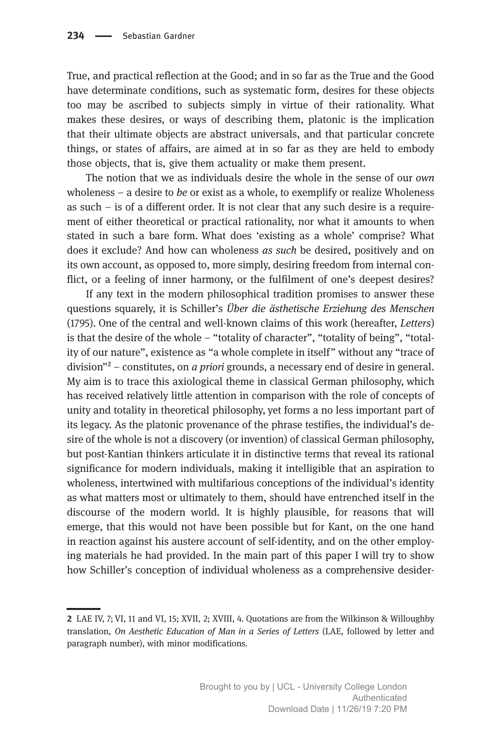True, and practical reflection at the Good; and in so far as the True and the Good have determinate conditions, such as systematic form, desires for these objects too may be ascribed to subjects simply in virtue of their rationality. What makes these desires, or ways of describing them, platonic is the implication that their ultimate objects are abstract universals, and that particular concrete things, or states of affairs, are aimed at in so far as they are held to embody those objects, that is, give them actuality or make them present.

The notion that we as individuals desire the whole in the sense of our own wholeness – a desire to be or exist as a whole, to exemplify or realize Wholeness as such – is of a different order. It is not clear that any such desire is a requirement of either theoretical or practical rationality, nor what it amounts to when stated in such a bare form. What does 'existing as a whole' comprise? What does it exclude? And how can wholeness as such be desired, positively and on its own account, as opposed to, more simply, desiring freedom from internal conflict, or a feeling of inner harmony, or the fulfilment of one's deepest desires?

If any text in the modern philosophical tradition promises to answer these questions squarely, it is Schiller's Über die ästhetische Erziehung des Menschen (1795). One of the central and well-known claims of this work (hereafter, Letters) is that the desire of the whole – "totality of character", "totality of being", "totality of our nature", existence as "a whole complete in itself" without any "trace of division" $^2$  – constitutes, on *a priori* grounds, a necessary end of desire in general. My aim is to trace this axiological theme in classical German philosophy, which has received relatively little attention in comparison with the role of concepts of unity and totality in theoretical philosophy, yet forms a no less important part of its legacy. As the platonic provenance of the phrase testifies, the individual's desire of the whole is not a discovery (or invention) of classical German philosophy, but post-Kantian thinkers articulate it in distinctive terms that reveal its rational significance for modern individuals, making it intelligible that an aspiration to wholeness, intertwined with multifarious conceptions of the individual's identity as what matters most or ultimately to them, should have entrenched itself in the discourse of the modern world. It is highly plausible, for reasons that will emerge, that this would not have been possible but for Kant, on the one hand in reaction against his austere account of self-identity, and on the other employing materials he had provided. In the main part of this paper I will try to show how Schiller's conception of individual wholeness as a comprehensive desider-

LAE IV, 7; VI, 11 and VI, 15; XVII, 2; XVIII, 4. Quotations are from the Wilkinson & Willoughby translation, On Aesthetic Education of Man in a Series of Letters (LAE, followed by letter and paragraph number), with minor modifications.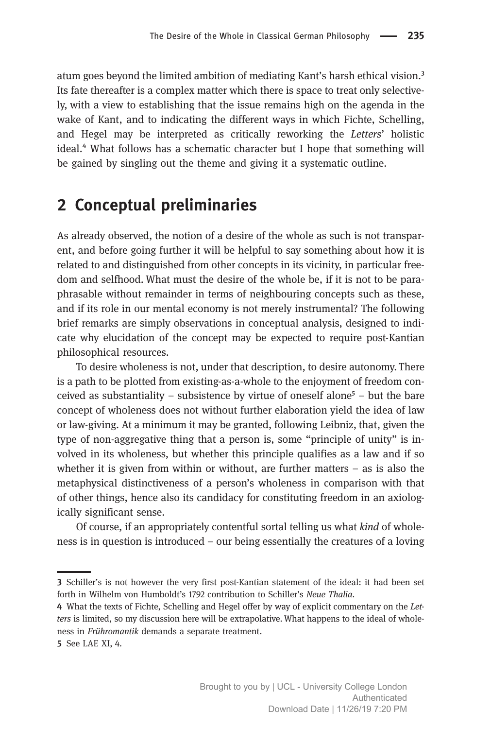atum goes beyond the limited ambition of mediating Kant's harsh ethical vision.<sup>3</sup> Its fate thereafter is a complex matter which there is space to treat only selectively, with a view to establishing that the issue remains high on the agenda in the wake of Kant, and to indicating the different ways in which Fichte, Schelling, and Hegel may be interpreted as critically reworking the Letters' holistic ideal.<sup>4</sup> What follows has a schematic character but I hope that something will be gained by singling out the theme and giving it a systematic outline.

#### 2 Conceptual preliminaries

As already observed, the notion of a desire of the whole as such is not transparent, and before going further it will be helpful to say something about how it is related to and distinguished from other concepts in its vicinity, in particular freedom and selfhood. What must the desire of the whole be, if it is not to be paraphrasable without remainder in terms of neighbouring concepts such as these, and if its role in our mental economy is not merely instrumental? The following brief remarks are simply observations in conceptual analysis, designed to indicate why elucidation of the concept may be expected to require post-Kantian philosophical resources.

To desire wholeness is not, under that description, to desire autonomy. There is a path to be plotted from existing-as-a-whole to the enjoyment of freedom conceived as substantiality – subsistence by virtue of oneself alone<sup>5</sup> – but the bare concept of wholeness does not without further elaboration yield the idea of law or law-giving. At a minimum it may be granted, following Leibniz, that, given the type of non-aggregative thing that a person is, some "principle of unity" is involved in its wholeness, but whether this principle qualifies as a law and if so whether it is given from within or without, are further matters – as is also the metaphysical distinctiveness of a person's wholeness in comparison with that of other things, hence also its candidacy for constituting freedom in an axiologically significant sense.

Of course, if an appropriately contentful sortal telling us what kind of wholeness is in question is introduced – our being essentially the creatures of a loving

<sup>3</sup> Schiller's is not however the very first post-Kantian statement of the ideal: it had been set forth in Wilhelm von Humboldt's 1792 contribution to Schiller's Neue Thalia.

What the texts of Fichte, Schelling and Hegel offer by way of explicit commentary on the Letters is limited, so my discussion here will be extrapolative. What happens to the ideal of wholeness in Frühromantik demands a separate treatment.

<sup>5</sup> See LAE XI, 4.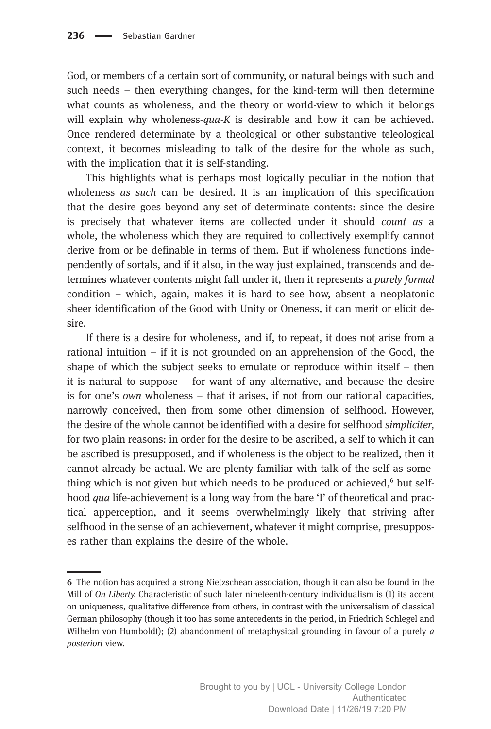God, or members of a certain sort of community, or natural beings with such and such needs – then everything changes, for the kind-term will then determine what counts as wholeness, and the theory or world-view to which it belongs will explain why wholeness- $qua-K$  is desirable and how it can be achieved. Once rendered determinate by a theological or other substantive teleological context, it becomes misleading to talk of the desire for the whole as such, with the implication that it is self-standing.

This highlights what is perhaps most logically peculiar in the notion that wholeness *as such* can be desired. It is an implication of this specification that the desire goes beyond any set of determinate contents: since the desire is precisely that whatever items are collected under it should count as a whole, the wholeness which they are required to collectively exemplify cannot derive from or be definable in terms of them. But if wholeness functions independently of sortals, and if it also, in the way just explained, transcends and determines whatever contents might fall under it, then it represents a purely formal condition – which, again, makes it is hard to see how, absent a neoplatonic sheer identification of the Good with Unity or Oneness, it can merit or elicit desire.

If there is a desire for wholeness, and if, to repeat, it does not arise from a rational intuition – if it is not grounded on an apprehension of the Good, the shape of which the subject seeks to emulate or reproduce within itself – then it is natural to suppose – for want of any alternative, and because the desire is for one's own wholeness – that it arises, if not from our rational capacities, narrowly conceived, then from some other dimension of selfhood. However, the desire of the whole cannot be identified with a desire for selfhood simpliciter, for two plain reasons: in order for the desire to be ascribed, a self to which it can be ascribed is presupposed, and if wholeness is the object to be realized, then it cannot already be actual. We are plenty familiar with talk of the self as something which is not given but which needs to be produced or achieved,<sup>6</sup> but selfhood *qua* life-achievement is a long way from the bare 'I' of theoretical and practical apperception, and it seems overwhelmingly likely that striving after selfhood in the sense of an achievement, whatever it might comprise, presupposes rather than explains the desire of the whole.

The notion has acquired a strong Nietzschean association, though it can also be found in the Mill of On Liberty. Characteristic of such later nineteenth-century individualism is (1) its accent on uniqueness, qualitative difference from others, in contrast with the universalism of classical German philosophy (though it too has some antecedents in the period, in Friedrich Schlegel and Wilhelm von Humboldt); (2) abandonment of metaphysical grounding in favour of a purely  $\alpha$ posteriori view.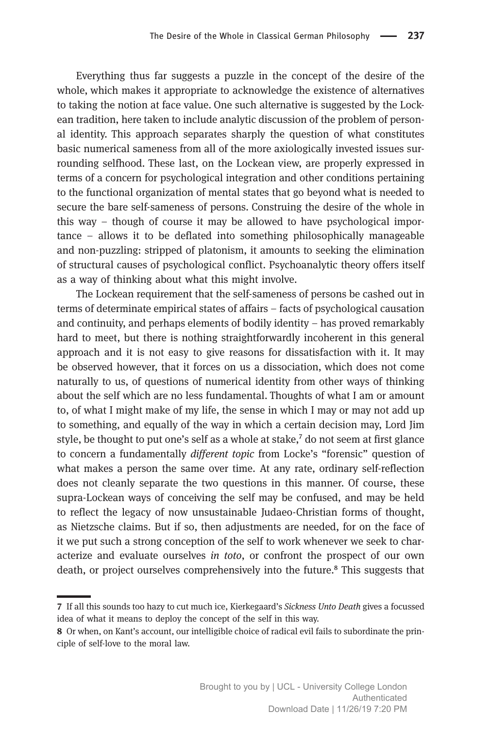Everything thus far suggests a puzzle in the concept of the desire of the whole, which makes it appropriate to acknowledge the existence of alternatives to taking the notion at face value. One such alternative is suggested by the Lockean tradition, here taken to include analytic discussion of the problem of personal identity. This approach separates sharply the question of what constitutes basic numerical sameness from all of the more axiologically invested issues surrounding selfhood. These last, on the Lockean view, are properly expressed in terms of a concern for psychological integration and other conditions pertaining to the functional organization of mental states that go beyond what is needed to secure the bare self-sameness of persons. Construing the desire of the whole in this way – though of course it may be allowed to have psychological importance – allows it to be deflated into something philosophically manageable and non-puzzling: stripped of platonism, it amounts to seeking the elimination of structural causes of psychological conflict. Psychoanalytic theory offers itself as a way of thinking about what this might involve.

The Lockean requirement that the self-sameness of persons be cashed out in terms of determinate empirical states of affairs – facts of psychological causation and continuity, and perhaps elements of bodily identity – has proved remarkably hard to meet, but there is nothing straightforwardly incoherent in this general approach and it is not easy to give reasons for dissatisfaction with it. It may be observed however, that it forces on us a dissociation, which does not come naturally to us, of questions of numerical identity from other ways of thinking about the self which are no less fundamental. Thoughts of what I am or amount to, of what I might make of my life, the sense in which I may or may not add up to something, and equally of the way in which a certain decision may, Lord Jim style, be thought to put one's self as a whole at stake, $\lambda$  do not seem at first glance to concern a fundamentally different topic from Locke's "forensic" question of what makes a person the same over time. At any rate, ordinary self-reflection does not cleanly separate the two questions in this manner. Of course, these supra-Lockean ways of conceiving the self may be confused, and may be held to reflect the legacy of now unsustainable Judaeo-Christian forms of thought, as Nietzsche claims. But if so, then adjustments are needed, for on the face of it we put such a strong conception of the self to work whenever we seek to characterize and evaluate ourselves in toto, or confront the prospect of our own death, or project ourselves comprehensively into the future.<sup>8</sup> This suggests that

If all this sounds too hazy to cut much ice, Kierkegaard's Sickness Unto Death gives a focussed idea of what it means to deploy the concept of the self in this way.

Or when, on Kant's account, our intelligible choice of radical evil fails to subordinate the principle of self-love to the moral law.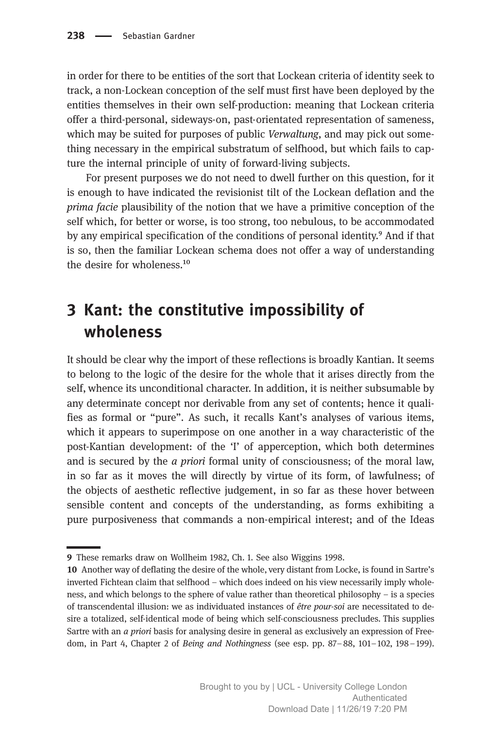in order for there to be entities of the sort that Lockean criteria of identity seek to track, a non-Lockean conception of the self must first have been deployed by the entities themselves in their own self-production: meaning that Lockean criteria offer a third-personal, sideways-on, past-orientated representation of sameness, which may be suited for purposes of public *Verwaltung*, and may pick out something necessary in the empirical substratum of selfhood, but which fails to capture the internal principle of unity of forward-living subjects.

For present purposes we do not need to dwell further on this question, for it is enough to have indicated the revisionist tilt of the Lockean deflation and the prima facie plausibility of the notion that we have a primitive conception of the self which, for better or worse, is too strong, too nebulous, to be accommodated by any empirical specification of the conditions of personal identity.<sup>9</sup> And if that is so, then the familiar Lockean schema does not offer a way of understanding the desire for wholeness. $^{10}$ 

# 3 Kant: the constitutive impossibility of wholeness

It should be clear why the import of these reflections is broadly Kantian. It seems to belong to the logic of the desire for the whole that it arises directly from the self, whence its unconditional character. In addition, it is neither subsumable by any determinate concept nor derivable from any set of contents; hence it qualifies as formal or "pure". As such, it recalls Kant's analyses of various items, which it appears to superimpose on one another in a way characteristic of the post-Kantian development: of the 'I' of apperception, which both determines and is secured by the  $\alpha$  priori formal unity of consciousness; of the moral law, in so far as it moves the will directly by virtue of its form, of lawfulness; of the objects of aesthetic reflective judgement, in so far as these hover between sensible content and concepts of the understanding, as forms exhibiting a pure purposiveness that commands a non-empirical interest; and of the Ideas

These remarks draw on Wollheim 1982, Ch. 1. See also Wiggins 1998.

<sup>10</sup> Another way of deflating the desire of the whole, very distant from Locke, is found in Sartre's inverted Fichtean claim that selfhood – which does indeed on his view necessarily imply wholeness, and which belongs to the sphere of value rather than theoretical philosophy – is a species of transcendental illusion: we as individuated instances of être pour-soi are necessitated to desire a totalized, self-identical mode of being which self-consciousness precludes. This supplies Sartre with an a priori basis for analysing desire in general as exclusively an expression of Freedom, in Part 4, Chapter 2 of Being and Nothingness (see esp. pp. 87–88, 101–102, 198–199).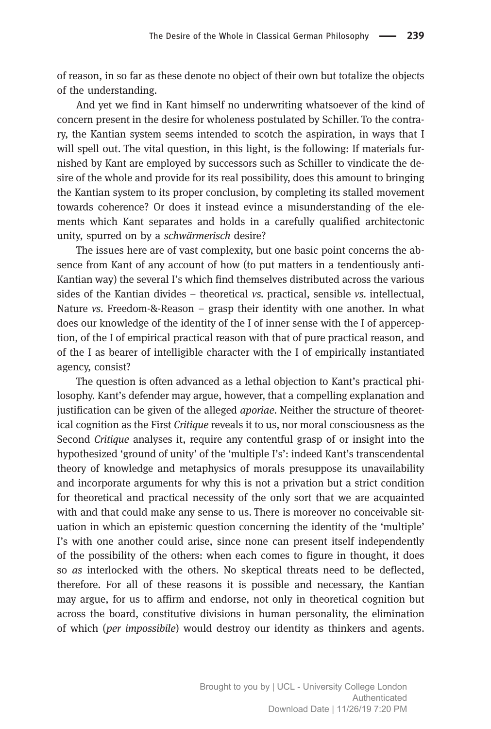of reason, in so far as these denote no object of their own but totalize the objects of the understanding.

And yet we find in Kant himself no underwriting whatsoever of the kind of concern present in the desire for wholeness postulated by Schiller. To the contrary, the Kantian system seems intended to scotch the aspiration, in ways that I will spell out. The vital question, in this light, is the following: If materials furnished by Kant are employed by successors such as Schiller to vindicate the desire of the whole and provide for its real possibility, does this amount to bringing the Kantian system to its proper conclusion, by completing its stalled movement towards coherence? Or does it instead evince a misunderstanding of the elements which Kant separates and holds in a carefully qualified architectonic unity, spurred on by a schwärmerisch desire?

The issues here are of vast complexity, but one basic point concerns the absence from Kant of any account of how (to put matters in a tendentiously anti-Kantian way) the several I's which find themselves distributed across the various sides of the Kantian divides – theoretical vs. practical, sensible vs. intellectual, Nature vs. Freedom-&-Reason – grasp their identity with one another. In what does our knowledge of the identity of the I of inner sense with the I of apperception, of the I of empirical practical reason with that of pure practical reason, and of the I as bearer of intelligible character with the I of empirically instantiated agency, consist?

The question is often advanced as a lethal objection to Kant's practical philosophy. Kant's defender may argue, however, that a compelling explanation and justification can be given of the alleged *aporiae*. Neither the structure of theoretical cognition as the First Critique reveals it to us, nor moral consciousness as the Second Critique analyses it, require any contentful grasp of or insight into the hypothesized 'ground of unity' of the 'multiple I's': indeed Kant's transcendental theory of knowledge and metaphysics of morals presuppose its unavailability and incorporate arguments for why this is not a privation but a strict condition for theoretical and practical necessity of the only sort that we are acquainted with and that could make any sense to us. There is moreover no conceivable situation in which an epistemic question concerning the identity of the 'multiple' I's with one another could arise, since none can present itself independently of the possibility of the others: when each comes to figure in thought, it does so as interlocked with the others. No skeptical threats need to be deflected, therefore. For all of these reasons it is possible and necessary, the Kantian may argue, for us to affirm and endorse, not only in theoretical cognition but across the board, constitutive divisions in human personality, the elimination of which (per impossibile) would destroy our identity as thinkers and agents.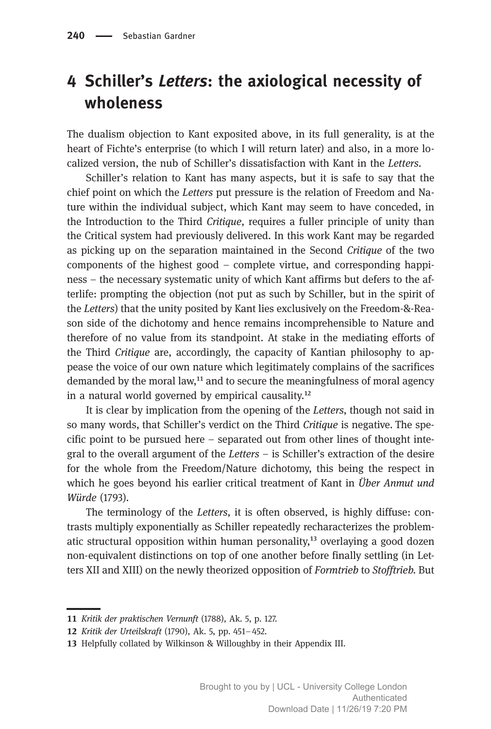### 4 Schiller's Letters: the axiological necessity of wholeness

The dualism objection to Kant exposited above, in its full generality, is at the heart of Fichte's enterprise (to which I will return later) and also, in a more localized version, the nub of Schiller's dissatisfaction with Kant in the Letters.

Schiller's relation to Kant has many aspects, but it is safe to say that the chief point on which the Letters put pressure is the relation of Freedom and Nature within the individual subject, which Kant may seem to have conceded, in the Introduction to the Third Critique, requires a fuller principle of unity than the Critical system had previously delivered. In this work Kant may be regarded as picking up on the separation maintained in the Second Critique of the two components of the highest good – complete virtue, and corresponding happiness – the necessary systematic unity of which Kant affirms but defers to the afterlife: prompting the objection (not put as such by Schiller, but in the spirit of the Letters) that the unity posited by Kant lies exclusively on the Freedom-&-Reason side of the dichotomy and hence remains incomprehensible to Nature and therefore of no value from its standpoint. At stake in the mediating efforts of the Third Critique are, accordingly, the capacity of Kantian philosophy to appease the voice of our own nature which legitimately complains of the sacrifices demanded by the moral law, $<sup>11</sup>$  and to secure the meaningfulness of moral agency</sup> in a natural world governed by empirical causality.<sup>12</sup>

It is clear by implication from the opening of the Letters, though not said in so many words, that Schiller's verdict on the Third Critique is negative. The specific point to be pursued here – separated out from other lines of thought integral to the overall argument of the Letters – is Schiller's extraction of the desire for the whole from the Freedom/Nature dichotomy, this being the respect in which he goes beyond his earlier critical treatment of Kant in *Über Anmut und* Würde (1793).

The terminology of the Letters, it is often observed, is highly diffuse: contrasts multiply exponentially as Schiller repeatedly recharacterizes the problematic structural opposition within human personality, $13$  overlaying a good dozen non-equivalent distinctions on top of one another before finally settling (in Letters XII and XIII) on the newly theorized opposition of Formtrieb to Stofftrieb. But

<sup>11</sup> Kritik der praktischen Vernunft (1788), Ak. 5, p. 127.

<sup>12</sup> Kritik der Urteilskraft (1790), Ak. 5, pp. 451-452.

<sup>13</sup> Helpfully collated by Wilkinson & Willoughby in their Appendix III.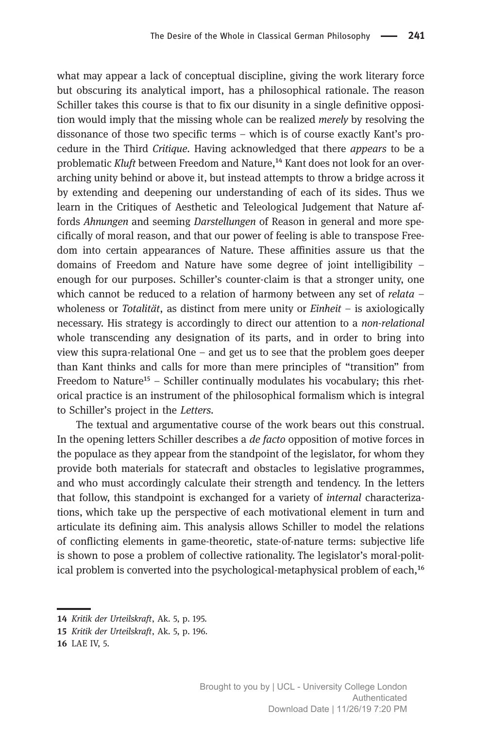what may appear a lack of conceptual discipline, giving the work literary force but obscuring its analytical import, has a philosophical rationale. The reason Schiller takes this course is that to fix our disunity in a single definitive opposition would imply that the missing whole can be realized *merely* by resolving the dissonance of those two specific terms – which is of course exactly Kant's procedure in the Third Critique. Having acknowledged that there appears to be a problematic Kluft between Freedom and Nature,<sup>14</sup> Kant does not look for an overarching unity behind or above it, but instead attempts to throw a bridge across it by extending and deepening our understanding of each of its sides. Thus we learn in the Critiques of Aesthetic and Teleological Judgement that Nature affords Ahnungen and seeming Darstellungen of Reason in general and more specifically of moral reason, and that our power of feeling is able to transpose Freedom into certain appearances of Nature. These affinities assure us that the domains of Freedom and Nature have some degree of joint intelligibility – enough for our purposes. Schiller's counter-claim is that a stronger unity, one which cannot be reduced to a relation of harmony between any set of *relata*  $$ wholeness or Totalität, as distinct from mere unity or  $Einheit - is axiologically$ necessary. His strategy is accordingly to direct our attention to a non-relational whole transcending any designation of its parts, and in order to bring into view this supra-relational One – and get us to see that the problem goes deeper than Kant thinks and calls for more than mere principles of "transition" from Freedom to Nature<sup>15</sup> – Schiller continually modulates his vocabulary; this rhetorical practice is an instrument of the philosophical formalism which is integral to Schiller's project in the Letters.

The textual and argumentative course of the work bears out this construal. In the opening letters Schiller describes a de facto opposition of motive forces in the populace as they appear from the standpoint of the legislator, for whom they provide both materials for statecraft and obstacles to legislative programmes, and who must accordingly calculate their strength and tendency. In the letters that follow, this standpoint is exchanged for a variety of internal characterizations, which take up the perspective of each motivational element in turn and articulate its defining aim. This analysis allows Schiller to model the relations of conflicting elements in game-theoretic, state-of-nature terms: subjective life is shown to pose a problem of collective rationality. The legislator's moral-political problem is converted into the psychological-metaphysical problem of each,<sup>16</sup>

<sup>14</sup> Kritik der Urteilskraft, Ak. 5, p. 195.

<sup>15</sup> Kritik der Urteilskraft, Ak. 5, p. 196.

<sup>16</sup> LAE IV, 5.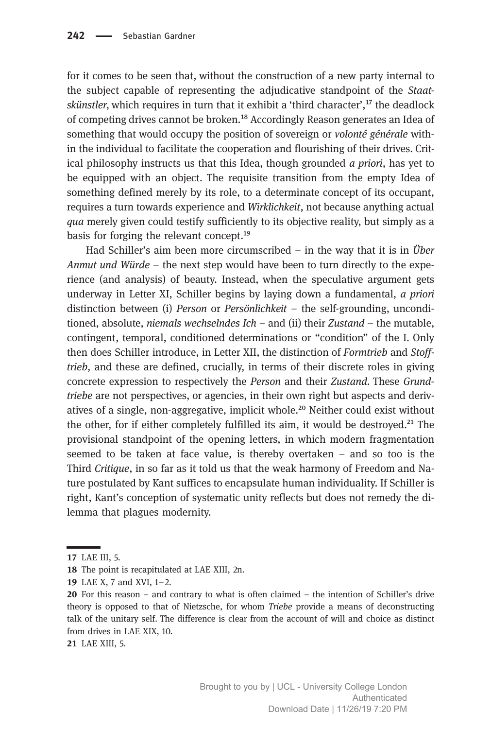for it comes to be seen that, without the construction of a new party internal to the subject capable of representing the adjudicative standpoint of the Staatskünstler, which requires in turn that it exhibit a 'third character', $^{17}$  the deadlock of competing drives cannot be broken.<sup>18</sup> Accordingly Reason generates an Idea of something that would occupy the position of sovereign or *volonté générale* within the individual to facilitate the cooperation and flourishing of their drives. Critical philosophy instructs us that this Idea, though grounded  $\alpha$  priori, has yet to be equipped with an object. The requisite transition from the empty Idea of something defined merely by its role, to a determinate concept of its occupant, requires a turn towards experience and Wirklichkeit, not because anything actual qua merely given could testify sufficiently to its objective reality, but simply as a basis for forging the relevant concept.<sup>19</sup>

Had Schiller's aim been more circumscribed – in the way that it is in Über Anmut und Würde – the next step would have been to turn directly to the experience (and analysis) of beauty. Instead, when the speculative argument gets underway in Letter XI, Schiller begins by laying down a fundamental, a priori distinction between (i) Person or Persönlichkeit – the self-grounding, unconditioned, absolute, niemals wechselndes  $I$ ch – and (ii) their Zustand – the mutable, contingent, temporal, conditioned determinations or "condition" of the I. Only then does Schiller introduce, in Letter XII, the distinction of Formtrieb and Stofftrieb, and these are defined, crucially, in terms of their discrete roles in giving concrete expression to respectively the Person and their Zustand. These Grundtriebe are not perspectives, or agencies, in their own right but aspects and derivatives of a single, non-aggregative, implicit whole.<sup>20</sup> Neither could exist without the other, for if either completely fulfilled its aim, it would be destroyed.<sup>21</sup> The provisional standpoint of the opening letters, in which modern fragmentation seemed to be taken at face value, is thereby overtaken – and so too is the Third Critique, in so far as it told us that the weak harmony of Freedom and Nature postulated by Kant suffices to encapsulate human individuality. If Schiller is right, Kant's conception of systematic unity reflects but does not remedy the dilemma that plagues modernity.

21 LAE XIII, 5.

LAE III, 5.

<sup>18</sup> The point is recapitulated at LAE XIII, 2n.

LAE X, 7 and XVI, 1–2.

<sup>20</sup> For this reason – and contrary to what is often claimed – the intention of Schiller's drive theory is opposed to that of Nietzsche, for whom Triebe provide a means of deconstructing talk of the unitary self. The difference is clear from the account of will and choice as distinct from drives in LAE XIX, 10.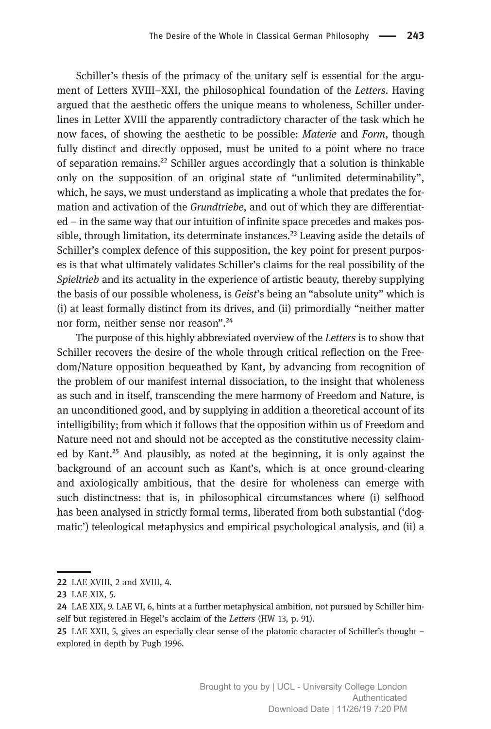Schiller's thesis of the primacy of the unitary self is essential for the argument of Letters XVIII–XXI, the philosophical foundation of the Letters. Having argued that the aesthetic offers the unique means to wholeness, Schiller underlines in Letter XVIII the apparently contradictory character of the task which he now faces, of showing the aesthetic to be possible: Materie and Form, though fully distinct and directly opposed, must be united to a point where no trace of separation remains.²² Schiller argues accordingly that a solution is thinkable only on the supposition of an original state of "unlimited determinability", which, he says, we must understand as implicating a whole that predates the formation and activation of the *Grundtriebe*, and out of which they are differentiated – in the same way that our intuition of infinite space precedes and makes possible, through limitation, its determinate instances.<sup>23</sup> Leaving aside the details of Schiller's complex defence of this supposition, the key point for present purposes is that what ultimately validates Schiller's claims for the real possibility of the Spieltrieb and its actuality in the experience of artistic beauty, thereby supplying the basis of our possible wholeness, is Geist's being an "absolute unity" which is (i) at least formally distinct from its drives, and (ii) primordially "neither matter nor form, neither sense nor reason".<sup>24</sup>

The purpose of this highly abbreviated overview of the Letters is to show that Schiller recovers the desire of the whole through critical reflection on the Freedom/Nature opposition bequeathed by Kant, by advancing from recognition of the problem of our manifest internal dissociation, to the insight that wholeness as such and in itself, transcending the mere harmony of Freedom and Nature, is an unconditioned good, and by supplying in addition a theoretical account of its intelligibility; from which it follows that the opposition within us of Freedom and Nature need not and should not be accepted as the constitutive necessity claimed by Kant.<sup>25</sup> And plausibly, as noted at the beginning, it is only against the background of an account such as Kant's, which is at once ground-clearing and axiologically ambitious, that the desire for wholeness can emerge with such distinctness: that is, in philosophical circumstances where (i) selfhood has been analysed in strictly formal terms, liberated from both substantial ('dogmatic') teleological metaphysics and empirical psychological analysis, and (ii) a

<sup>22</sup> LAE XVIII, 2 and XVIII, 4.

<sup>23</sup> LAE XIX, 5.

LAE XIX, 9. LAE VI, 6, hints at a further metaphysical ambition, not pursued by Schiller himself but registered in Hegel's acclaim of the Letters (HW 13, p. 91).

LAE XXII, 5, gives an especially clear sense of the platonic character of Schiller's thought – explored in depth by Pugh 1996.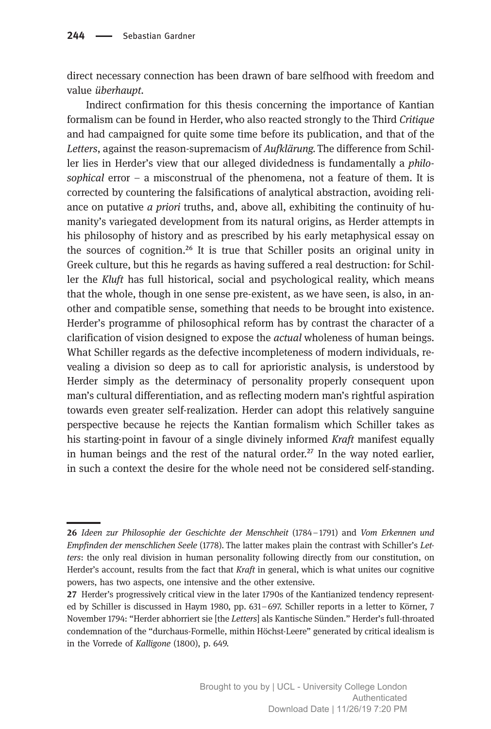direct necessary connection has been drawn of bare selfhood with freedom and value überhaupt.

Indirect confirmation for this thesis concerning the importance of Kantian formalism can be found in Herder, who also reacted strongly to the Third Critique and had campaigned for quite some time before its publication, and that of the Letters, against the reason-supremacism of Aufklärung. The difference from Schiller lies in Herder's view that our alleged dividedness is fundamentally a philosophical error  $-$  a misconstrual of the phenomena, not a feature of them. It is corrected by countering the falsifications of analytical abstraction, avoiding reliance on putative  $a$  priori truths, and, above all, exhibiting the continuity of humanity's variegated development from its natural origins, as Herder attempts in his philosophy of history and as prescribed by his early metaphysical essay on the sources of cognition.<sup>26</sup> It is true that Schiller posits an original unity in Greek culture, but this he regards as having suffered a real destruction: for Schiller the Kluft has full historical, social and psychological reality, which means that the whole, though in one sense pre-existent, as we have seen, is also, in another and compatible sense, something that needs to be brought into existence. Herder's programme of philosophical reform has by contrast the character of a clarification of vision designed to expose the *actual* wholeness of human beings. What Schiller regards as the defective incompleteness of modern individuals, revealing a division so deep as to call for aprioristic analysis, is understood by Herder simply as the determinacy of personality properly consequent upon man's cultural differentiation, and as reflecting modern man's rightful aspiration towards even greater self-realization. Herder can adopt this relatively sanguine perspective because he rejects the Kantian formalism which Schiller takes as his starting-point in favour of a single divinely informed Kraft manifest equally in human beings and the rest of the natural order. $^{27}$  In the way noted earlier, in such a context the desire for the whole need not be considered self-standing.

Ideen zur Philosophie der Geschichte der Menschheit (1784–1791) and Vom Erkennen und Empfinden der menschlichen Seele (1778). The latter makes plain the contrast with Schiller's Letters: the only real division in human personality following directly from our constitution, on Herder's account, results from the fact that Kraft in general, which is what unites our cognitive powers, has two aspects, one intensive and the other extensive.

<sup>27</sup> Herder's progressively critical view in the later 1790s of the Kantianized tendency represented by Schiller is discussed in Haym 1980, pp. 631–697. Schiller reports in a letter to Körner, 7 November 1794: "Herder abhorriert sie [the Letters] als Kantische Sünden." Herder's full-throated condemnation of the "durchaus-Formelle, mithin Höchst-Leere" generated by critical idealism is in the Vorrede of Kalligone (1800), p. 649.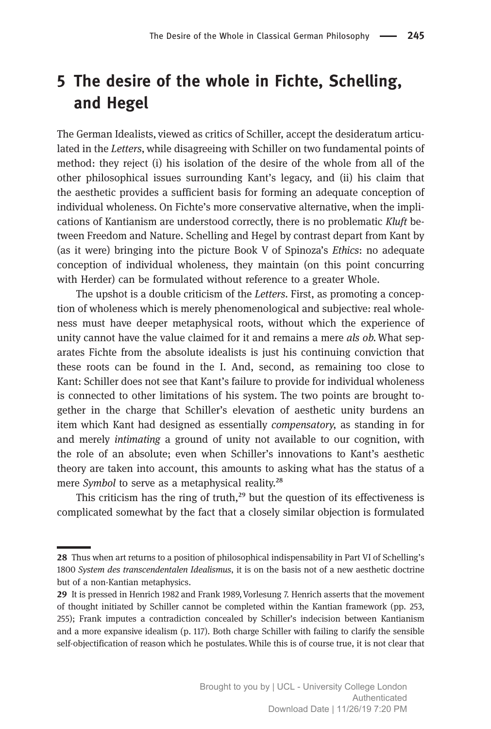## 5 The desire of the whole in Fichte, Schelling, and Hegel

The German Idealists, viewed as critics of Schiller, accept the desideratum articulated in the Letters, while disagreeing with Schiller on two fundamental points of method: they reject (i) his isolation of the desire of the whole from all of the other philosophical issues surrounding Kant's legacy, and (ii) his claim that the aesthetic provides a sufficient basis for forming an adequate conception of individual wholeness. On Fichte's more conservative alternative, when the implications of Kantianism are understood correctly, there is no problematic Kluft between Freedom and Nature. Schelling and Hegel by contrast depart from Kant by (as it were) bringing into the picture Book V of Spinoza's Ethics: no adequate conception of individual wholeness, they maintain (on this point concurring with Herder) can be formulated without reference to a greater Whole.

The upshot is a double criticism of the Letters. First, as promoting a conception of wholeness which is merely phenomenological and subjective: real wholeness must have deeper metaphysical roots, without which the experience of unity cannot have the value claimed for it and remains a mere *als ob*. What separates Fichte from the absolute idealists is just his continuing conviction that these roots can be found in the I. And, second, as remaining too close to Kant: Schiller does not see that Kant's failure to provide for individual wholeness is connected to other limitations of his system. The two points are brought together in the charge that Schiller's elevation of aesthetic unity burdens an item which Kant had designed as essentially compensatory, as standing in for and merely intimating a ground of unity not available to our cognition, with the role of an absolute; even when Schiller's innovations to Kant's aesthetic theory are taken into account, this amounts to asking what has the status of a mere Symbol to serve as a metaphysical reality.<sup>28</sup>

This criticism has the ring of truth, $29$  but the question of its effectiveness is complicated somewhat by the fact that a closely similar objection is formulated

Thus when art returns to a position of philosophical indispensability in Part VI of Schelling's 1800 System des transcendentalen Idealismus, it is on the basis not of a new aesthetic doctrine but of a non-Kantian metaphysics.

<sup>29</sup> It is pressed in Henrich 1982 and Frank 1989, Vorlesung 7. Henrich asserts that the movement of thought initiated by Schiller cannot be completed within the Kantian framework (pp. 253, 255); Frank imputes a contradiction concealed by Schiller's indecision between Kantianism and a more expansive idealism (p. 117). Both charge Schiller with failing to clarify the sensible self-objectification of reason which he postulates.While this is of course true, it is not clear that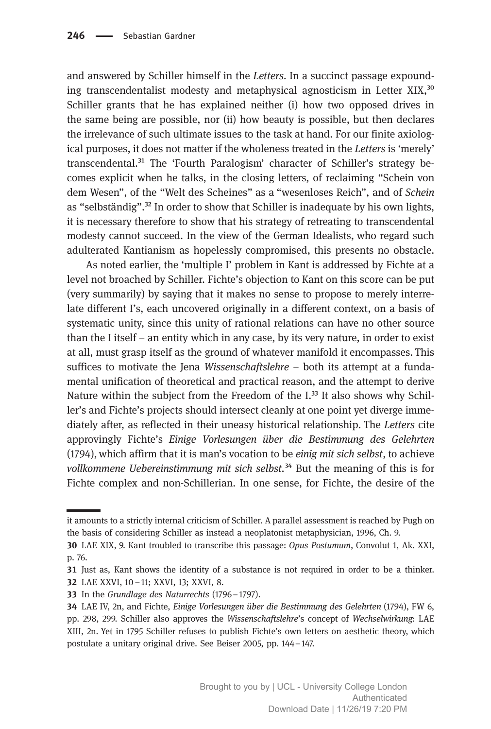and answered by Schiller himself in the Letters. In a succinct passage expounding transcendentalist modesty and metaphysical agnosticism in Letter  $XIX<sup>30</sup>$ Schiller grants that he has explained neither (i) how two opposed drives in the same being are possible, nor (ii) how beauty is possible, but then declares the irrelevance of such ultimate issues to the task at hand. For our finite axiological purposes, it does not matter if the wholeness treated in the Letters is 'merely' transcendental.<sup>31</sup> The 'Fourth Paralogism' character of Schiller's strategy becomes explicit when he talks, in the closing letters, of reclaiming "Schein von dem Wesen", of the "Welt des Scheines" as a "wesenloses Reich", and of Schein as "selbständig".³² In order to show that Schiller is inadequate by his own lights, it is necessary therefore to show that his strategy of retreating to transcendental modesty cannot succeed. In the view of the German Idealists, who regard such adulterated Kantianism as hopelessly compromised, this presents no obstacle.

As noted earlier, the 'multiple I' problem in Kant is addressed by Fichte at a level not broached by Schiller. Fichte's objection to Kant on this score can be put (very summarily) by saying that it makes no sense to propose to merely interrelate different I's, each uncovered originally in a different context, on a basis of systematic unity, since this unity of rational relations can have no other source than the I itself – an entity which in any case, by its very nature, in order to exist at all, must grasp itself as the ground of whatever manifold it encompasses. This suffices to motivate the Jena *Wissenschaftslehre*  $-$  both its attempt at a fundamental unification of theoretical and practical reason, and the attempt to derive Nature within the subject from the Freedom of the I.<sup>33</sup> It also shows why Schiller's and Fichte's projects should intersect cleanly at one point yet diverge immediately after, as reflected in their uneasy historical relationship. The Letters cite approvingly Fichte's Einige Vorlesungen über die Bestimmung des Gelehrten (1794), which affirm that it is man's vocation to be einig mit sich selbst, to achieve vollkommene Uebereinstimmung mit sich selbst.<sup>34</sup> But the meaning of this is for Fichte complex and non-Schillerian. In one sense, for Fichte, the desire of the

it amounts to a strictly internal criticism of Schiller. A parallel assessment is reached by Pugh on the basis of considering Schiller as instead a neoplatonist metaphysician, 1996, Ch. 9.

LAE XIX, 9. Kant troubled to transcribe this passage: Opus Postumum, Convolut 1, Ak. XXI, p. 76.

**<sup>31</sup>** Just as, Kant shows the identity of a substance is not required in order to be a thinker. LAE XXVI, 10 –11; XXVI, 13; XXVI, 8.

<sup>33</sup> In the Grundlage des Naturrechts (1796-1797).

LAE IV, 2n, and Fichte, Einige Vorlesungen über die Bestimmung des Gelehrten (1794), FW 6, pp. 298, 299. Schiller also approves the Wissenschaftslehre's concept of Wechselwirkung: LAE XIII, 2n. Yet in 1795 Schiller refuses to publish Fichte's own letters on aesthetic theory, which postulate a unitary original drive. See Beiser 2005, pp. 144–147.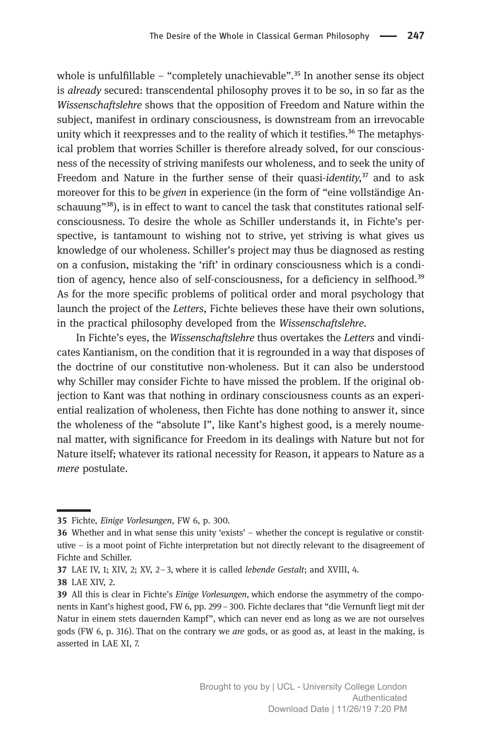whole is unfulfillable – "completely unachievable".<sup>35</sup> In another sense its object is *already* secured: transcendental philosophy proves it to be so, in so far as the Wissenschaftslehre shows that the opposition of Freedom and Nature within the subject, manifest in ordinary consciousness, is downstream from an irrevocable unity which it reexpresses and to the reality of which it testifies.<sup>36</sup> The metaphysical problem that worries Schiller is therefore already solved, for our consciousness of the necessity of striving manifests our wholeness, and to seek the unity of Freedom and Nature in the further sense of their quasi-identity, $37$  and to ask moreover for this to be given in experience (in the form of "eine vollständige Anschauung"<sup>38</sup>), is in effect to want to cancel the task that constitutes rational selfconsciousness. To desire the whole as Schiller understands it, in Fichte's perspective, is tantamount to wishing not to strive, yet striving is what gives us knowledge of our wholeness. Schiller's project may thus be diagnosed as resting on a confusion, mistaking the 'rift' in ordinary consciousness which is a condition of agency, hence also of self-consciousness, for a deficiency in selfhood.<sup>39</sup> As for the more specific problems of political order and moral psychology that launch the project of the Letters, Fichte believes these have their own solutions, in the practical philosophy developed from the Wissenschaftslehre.

In Fichte's eyes, the Wissenschaftslehre thus overtakes the Letters and vindicates Kantianism, on the condition that it is regrounded in a way that disposes of the doctrine of our constitutive non-wholeness. But it can also be understood why Schiller may consider Fichte to have missed the problem. If the original objection to Kant was that nothing in ordinary consciousness counts as an experiential realization of wholeness, then Fichte has done nothing to answer it, since the wholeness of the "absolute I", like Kant's highest good, is a merely noumenal matter, with significance for Freedom in its dealings with Nature but not for Nature itself; whatever its rational necessity for Reason, it appears to Nature as a mere postulate.

<sup>35</sup> Fichte, Einige Vorlesungen, FW 6, p. 300.

Whether and in what sense this unity 'exists' – whether the concept is regulative or constitutive – is a moot point of Fichte interpretation but not directly relevant to the disagreement of Fichte and Schiller.

LAE IV, 1; XIV, 2; XV, 2–3, where it is called lebende Gestalt; and XVIII, 4.

<sup>38</sup> LAE XIV, 2.

<sup>39</sup> All this is clear in Fichte's *Einige Vorlesungen*, which endorse the asymmetry of the components in Kant's highest good, FW 6, pp. 299–300. Fichte declares that "die Vernunft liegt mit der Natur in einem stets dauernden Kampf", which can never end as long as we are not ourselves gods (FW 6, p. 316). That on the contrary we are gods, or as good as, at least in the making, is asserted in LAE XI, 7.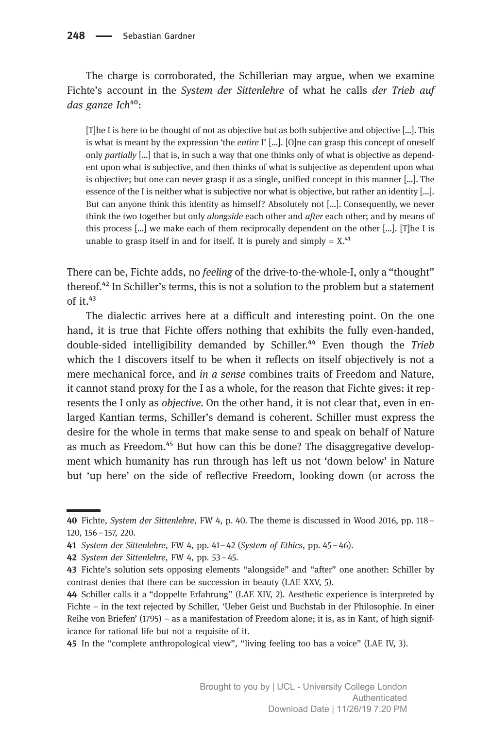The charge is corroborated, the Schillerian may argue, when we examine Fichte's account in the System der Sittenlehre of what he calls der Trieb auf das ganze Ich<sup>40</sup>:

[T]he I is here to be thought of not as objective but as both subjective and objective […]. This is what is meant by the expression 'the *entire* I'  $[\dots]$ . [O]ne can grasp this concept of oneself only partially […] that is, in such a way that one thinks only of what is objective as dependent upon what is subjective, and then thinks of what is subjective as dependent upon what is objective; but one can never grasp it as a single, unified concept in this manner […]. The essence of the I is neither what is subjective nor what is objective, but rather an identity [...]. But can anyone think this identity as himself? Absolutely not […]. Consequently, we never think the two together but only *alongside* each other and *after* each other; and by means of this process […] we make each of them reciprocally dependent on the other […]. [T]he I is unable to grasp itself in and for itself. It is purely and simply  $= X<sup>41</sup>$ 

There can be, Fichte adds, no feeling of the drive-to-the-whole-I, only a "thought" thereof.⁴² In Schiller's terms, this is not a solution to the problem but a statement of it. $43$ 

The dialectic arrives here at a difficult and interesting point. On the one hand, it is true that Fichte offers nothing that exhibits the fully even-handed, double-sided intelligibility demanded by Schiller.<sup>44</sup> Even though the Trieb which the I discovers itself to be when it reflects on itself objectively is not a mere mechanical force, and *in a sense* combines traits of Freedom and Nature, it cannot stand proxy for the I as a whole, for the reason that Fichte gives: it represents the I only as *objective*. On the other hand, it is not clear that, even in enlarged Kantian terms, Schiller's demand is coherent. Schiller must express the desire for the whole in terms that make sense to and speak on behalf of Nature as much as Freedom.<sup>45</sup> But how can this be done? The disaggregative development which humanity has run through has left us not 'down below' in Nature but 'up here' on the side of reflective Freedom, looking down (or across the

45 In the "complete anthropological view", "living feeling too has a voice" (LAE IV, 3).

Fichte, System der Sittenlehre, FW 4, p. 40. The theme is discussed in Wood 2016, pp. 118– 120, 156–157, 220.

<sup>41</sup> System der Sittenlehre, FW 4, pp. 41-42 (System of Ethics, pp. 45-46).

<sup>42</sup> System der Sittenlehre, FW 4, pp. 53-45.

<sup>43</sup> Fichte's solution sets opposing elements "alongside" and "after" one another: Schiller by contrast denies that there can be succession in beauty (LAE XXV, 5).

<sup>44</sup> Schiller calls it a "doppelte Erfahrung" (LAE XIV, 2). Aesthetic experience is interpreted by Fichte – in the text rejected by Schiller, 'Ueber Geist und Buchstab in der Philosophie. In einer Reihe von Briefen' (1795) – as a manifestation of Freedom alone; it is, as in Kant, of high significance for rational life but not a requisite of it.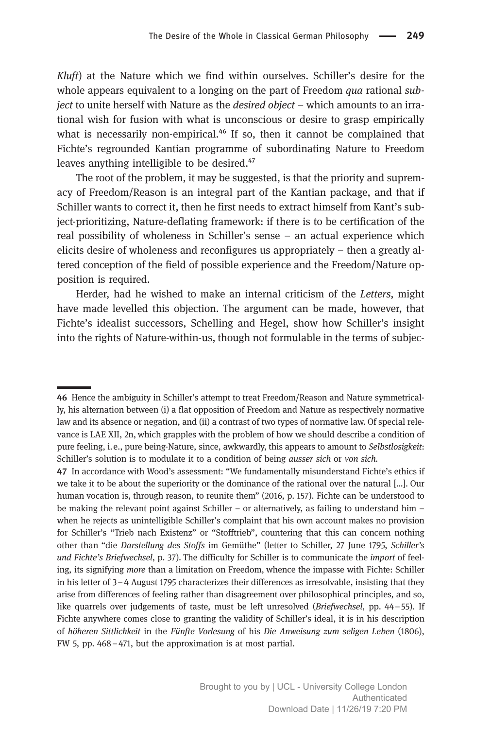Kluft) at the Nature which we find within ourselves. Schiller's desire for the whole appears equivalent to a longing on the part of Freedom *qua* rational *sub*ject to unite herself with Nature as the desired object – which amounts to an irrational wish for fusion with what is unconscious or desire to grasp empirically what is necessarily non-empirical. $^{46}$  If so, then it cannot be complained that Fichte's regrounded Kantian programme of subordinating Nature to Freedom leaves anything intelligible to be desired.<sup>47</sup>

The root of the problem, it may be suggested, is that the priority and supremacy of Freedom/Reason is an integral part of the Kantian package, and that if Schiller wants to correct it, then he first needs to extract himself from Kant's subject-prioritizing, Nature-deflating framework: if there is to be certification of the real possibility of wholeness in Schiller's sense – an actual experience which elicits desire of wholeness and reconfigures us appropriately – then a greatly altered conception of the field of possible experience and the Freedom/Nature opposition is required.

Herder, had he wished to make an internal criticism of the Letters, might have made levelled this objection. The argument can be made, however, that Fichte's idealist successors, Schelling and Hegel, show how Schiller's insight into the rights of Nature-within-us, though not formulable in the terms of subjec-

<sup>46</sup> Hence the ambiguity in Schiller's attempt to treat Freedom/Reason and Nature symmetrically, his alternation between (i) a flat opposition of Freedom and Nature as respectively normative law and its absence or negation, and (ii) a contrast of two types of normative law. Of special relevance is LAE XII, 2n, which grapples with the problem of how we should describe a condition of pure feeling, i.e., pure being-Nature, since, awkwardly, this appears to amount to Selbstlosigkeit: Schiller's solution is to modulate it to a condition of being ausser sich or von sich.

<sup>47</sup> In accordance with Wood's assessment: "We fundamentally misunderstand Fichte's ethics if we take it to be about the superiority or the dominance of the rational over the natural [...]. Our human vocation is, through reason, to reunite them" (2016, p. 157). Fichte can be understood to be making the relevant point against Schiller – or alternatively, as failing to understand him – when he rejects as unintelligible Schiller's complaint that his own account makes no provision for Schiller's "Trieb nach Existenz" or "Stofftrieb", countering that this can concern nothing other than "die Darstellung des Stoffs im Gemüthe" (letter to Schiller, 27 June 1795, Schiller's und Fichte's Briefwechsel, p. 37). The difficulty for Schiller is to communicate the *import* of feeling, its signifying more than a limitation on Freedom, whence the impasse with Fichte: Schiller in his letter of 3–4 August 1795 characterizes their differences as irresolvable, insisting that they arise from differences of feeling rather than disagreement over philosophical principles, and so, like quarrels over judgements of taste, must be left unresolved (Briefwechsel, pp. 44–55). If Fichte anywhere comes close to granting the validity of Schiller's ideal, it is in his description of höheren Sittlichkeit in the Fünfte Vorlesung of his Die Anweisung zum seligen Leben (1806), FW 5, pp. 468–471, but the approximation is at most partial.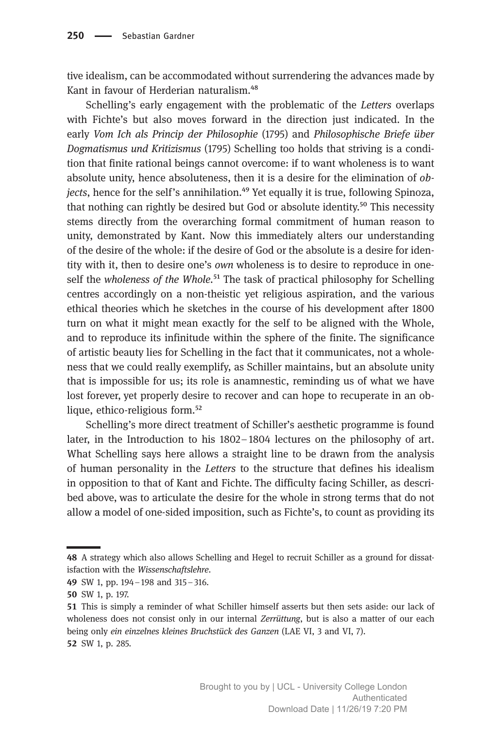tive idealism, can be accommodated without surrendering the advances made by Kant in favour of Herderian naturalism.<sup>48</sup>

Schelling's early engagement with the problematic of the Letters overlaps with Fichte's but also moves forward in the direction just indicated. In the early Vom Ich als Princip der Philosophie (1795) and Philosophische Briefe über Dogmatismus und Kritizismus (1795) Schelling too holds that striving is a condition that finite rational beings cannot overcome: if to want wholeness is to want absolute unity, hence absoluteness, then it is a desire for the elimination of objects, hence for the self's annihilation. $^{49}$  Yet equally it is true, following Spinoza, that nothing can rightly be desired but God or absolute identity.<sup>50</sup> This necessity stems directly from the overarching formal commitment of human reason to unity, demonstrated by Kant. Now this immediately alters our understanding of the desire of the whole: if the desire of God or the absolute is a desire for identity with it, then to desire one's own wholeness is to desire to reproduce in oneself the wholeness of the Whole.<sup>51</sup> The task of practical philosophy for Schelling centres accordingly on a non-theistic yet religious aspiration, and the various ethical theories which he sketches in the course of his development after 1800 turn on what it might mean exactly for the self to be aligned with the Whole, and to reproduce its infinitude within the sphere of the finite. The significance of artistic beauty lies for Schelling in the fact that it communicates, not a wholeness that we could really exemplify, as Schiller maintains, but an absolute unity that is impossible for us; its role is anamnestic, reminding us of what we have lost forever, yet properly desire to recover and can hope to recuperate in an oblique, ethico-religious form.<sup>52</sup>

Schelling's more direct treatment of Schiller's aesthetic programme is found later, in the Introduction to his 1802–1804 lectures on the philosophy of art. What Schelling says here allows a straight line to be drawn from the analysis of human personality in the Letters to the structure that defines his idealism in opposition to that of Kant and Fichte. The difficulty facing Schiller, as described above, was to articulate the desire for the whole in strong terms that do not allow a model of one-sided imposition, such as Fichte's, to count as providing its

<sup>48</sup> A strategy which also allows Schelling and Hegel to recruit Schiller as a ground for dissatisfaction with the Wissenschaftslehre.

SW 1, pp. 194–198 and 315–316.

SW 1, p. 197.

This is simply a reminder of what Schiller himself asserts but then sets aside: our lack of wholeness does not consist only in our internal Zerrüttung, but is also a matter of our each being only ein einzelnes kleines Bruchstück des Ganzen (LAE VI, 3 and VI, 7). 52 SW 1, p. 285.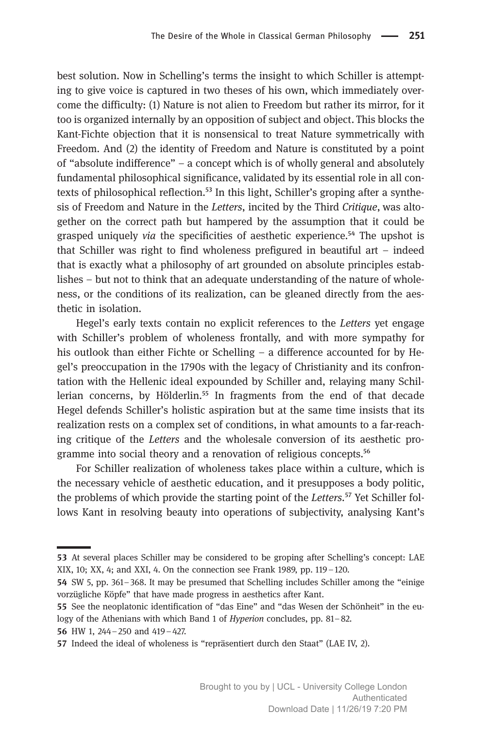best solution. Now in Schelling's terms the insight to which Schiller is attempting to give voice is captured in two theses of his own, which immediately overcome the difficulty: (1) Nature is not alien to Freedom but rather its mirror, for it too is organized internally by an opposition of subject and object. This blocks the Kant-Fichte objection that it is nonsensical to treat Nature symmetrically with Freedom. And (2) the identity of Freedom and Nature is constituted by a point of "absolute indifference" – a concept which is of wholly general and absolutely fundamental philosophical significance, validated by its essential role in all contexts of philosophical reflection.<sup>53</sup> In this light, Schiller's groping after a synthesis of Freedom and Nature in the Letters, incited by the Third Critique, was altogether on the correct path but hampered by the assumption that it could be grasped uniquely *via* the specificities of aesthetic experience.<sup>54</sup> The upshot is that Schiller was right to find wholeness prefigured in beautiful art – indeed that is exactly what a philosophy of art grounded on absolute principles establishes – but not to think that an adequate understanding of the nature of wholeness, or the conditions of its realization, can be gleaned directly from the aesthetic in isolation.

Hegel's early texts contain no explicit references to the Letters yet engage with Schiller's problem of wholeness frontally, and with more sympathy for his outlook than either Fichte or Schelling – a difference accounted for by Hegel's preoccupation in the 1790s with the legacy of Christianity and its confrontation with the Hellenic ideal expounded by Schiller and, relaying many Schillerian concerns, by Hölderlin.<sup>55</sup> In fragments from the end of that decade Hegel defends Schiller's holistic aspiration but at the same time insists that its realization rests on a complex set of conditions, in what amounts to a far-reaching critique of the Letters and the wholesale conversion of its aesthetic programme into social theory and a renovation of religious concepts.<sup>56</sup>

For Schiller realization of wholeness takes place within a culture, which is the necessary vehicle of aesthetic education, and it presupposes a body politic, the problems of which provide the starting point of the Letters.<sup>57</sup> Yet Schiller follows Kant in resolving beauty into operations of subjectivity, analysing Kant's

HW 1, 244–250 and 419–427.

<sup>53</sup> At several places Schiller may be considered to be groping after Schelling's concept: LAE XIX, 10; XX, 4; and XXI, 4. On the connection see Frank 1989, pp. 119–120.

SW 5, pp. 361–368. It may be presumed that Schelling includes Schiller among the "einige vorzügliche Köpfe" that have made progress in aesthetics after Kant.

See the neoplatonic identification of "das Eine" and "das Wesen der Schönheit" in the eulogy of the Athenians with which Band 1 of Hyperion concludes, pp. 81–82.

Indeed the ideal of wholeness is "repräsentiert durch den Staat" (LAE IV, 2).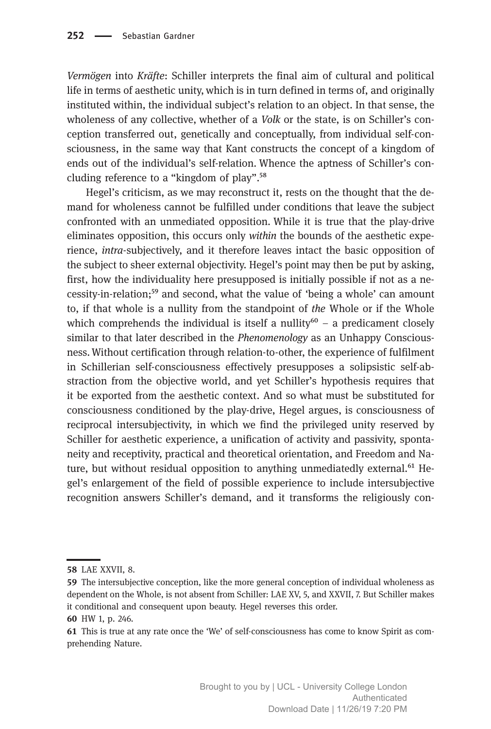Vermögen into Kräfte: Schiller interprets the final aim of cultural and political life in terms of aesthetic unity, which is in turn defined in terms of, and originally instituted within, the individual subject's relation to an object. In that sense, the wholeness of any collective, whether of a *Volk* or the state, is on Schiller's conception transferred out, genetically and conceptually, from individual self-consciousness, in the same way that Kant constructs the concept of a kingdom of ends out of the individual's self-relation. Whence the aptness of Schiller's concluding reference to a "kingdom of play".<sup>58</sup>

Hegel's criticism, as we may reconstruct it, rests on the thought that the demand for wholeness cannot be fulfilled under conditions that leave the subject confronted with an unmediated opposition. While it is true that the play-drive eliminates opposition, this occurs only within the bounds of the aesthetic experience, intra-subjectively, and it therefore leaves intact the basic opposition of the subject to sheer external objectivity. Hegel's point may then be put by asking, first, how the individuality here presupposed is initially possible if not as a necessity-in-relation;<sup>59</sup> and second, what the value of 'being a whole' can amount to, if that whole is a nullity from the standpoint of the Whole or if the Whole which comprehends the individual is itself a nullity<sup>60</sup> – a predicament closely similar to that later described in the Phenomenology as an Unhappy Consciousness.Without certification through relation-to-other, the experience of fulfilment in Schillerian self-consciousness effectively presupposes a solipsistic self-abstraction from the objective world, and yet Schiller's hypothesis requires that it be exported from the aesthetic context. And so what must be substituted for consciousness conditioned by the play-drive, Hegel argues, is consciousness of reciprocal intersubjectivity, in which we find the privileged unity reserved by Schiller for aesthetic experience, a unification of activity and passivity, spontaneity and receptivity, practical and theoretical orientation, and Freedom and Nature, but without residual opposition to anything unmediatedly external.<sup>61</sup> Hegel's enlargement of the field of possible experience to include intersubjective recognition answers Schiller's demand, and it transforms the religiously con-

HW 1, p. 246.

**<sup>58</sup> LAE XXVII, 8.** 

The intersubjective conception, like the more general conception of individual wholeness as dependent on the Whole, is not absent from Schiller: LAE XV, 5, and XXVII, 7. But Schiller makes it conditional and consequent upon beauty. Hegel reverses this order.

This is true at any rate once the 'We' of self-consciousness has come to know Spirit as comprehending Nature.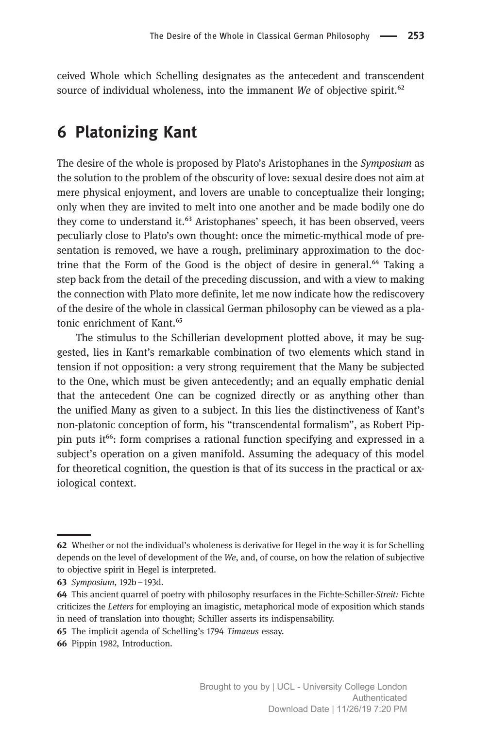ceived Whole which Schelling designates as the antecedent and transcendent source of individual wholeness, into the immanent We of objective spirit.<sup>62</sup>

#### 6 Platonizing Kant

The desire of the whole is proposed by Plato's Aristophanes in the Symposium as the solution to the problem of the obscurity of love: sexual desire does not aim at mere physical enjoyment, and lovers are unable to conceptualize their longing; only when they are invited to melt into one another and be made bodily one do they come to understand it.<sup>63</sup> Aristophanes' speech, it has been observed, veers peculiarly close to Plato's own thought: once the mimetic-mythical mode of presentation is removed, we have a rough, preliminary approximation to the doctrine that the Form of the Good is the object of desire in general.<sup>64</sup> Taking a step back from the detail of the preceding discussion, and with a view to making the connection with Plato more definite, let me now indicate how the rediscovery of the desire of the whole in classical German philosophy can be viewed as a platonic enrichment of Kant.<sup>65</sup>

The stimulus to the Schillerian development plotted above, it may be suggested, lies in Kant's remarkable combination of two elements which stand in tension if not opposition: a very strong requirement that the Many be subjected to the One, which must be given antecedently; and an equally emphatic denial that the antecedent One can be cognized directly or as anything other than the unified Many as given to a subject. In this lies the distinctiveness of Kant's non-platonic conception of form, his "transcendental formalism", as Robert Pippin puts it<sup>66</sup>: form comprises a rational function specifying and expressed in a subject's operation on a given manifold. Assuming the adequacy of this model for theoretical cognition, the question is that of its success in the practical or axiological context.

- 65 The implicit agenda of Schelling's 1794 Timaeus essay.
- 66 Pippin 1982, Introduction.

Whether or not the individual's wholeness is derivative for Hegel in the way it is for Schelling depends on the level of development of the We, and, of course, on how the relation of subjective to objective spirit in Hegel is interpreted.

<sup>63</sup> Symposium, 192b-193d.

<sup>64</sup> This ancient quarrel of poetry with philosophy resurfaces in the Fichte-Schiller-Streit: Fichte criticizes the Letters for employing an imagistic, metaphorical mode of exposition which stands in need of translation into thought; Schiller asserts its indispensability.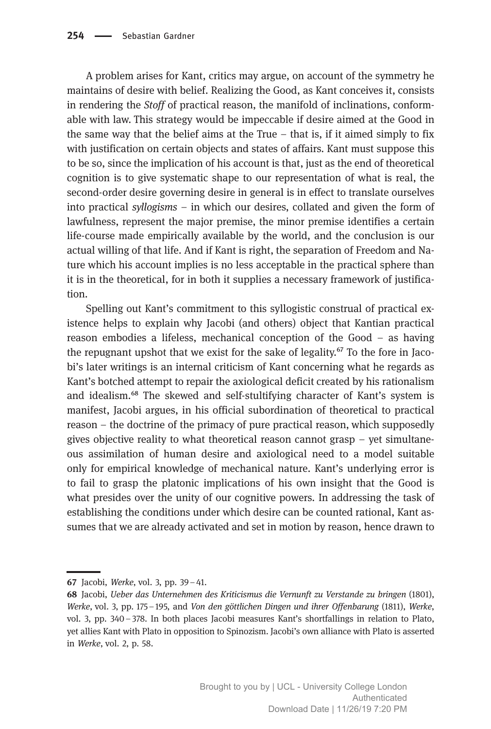A problem arises for Kant, critics may argue, on account of the symmetry he maintains of desire with belief. Realizing the Good, as Kant conceives it, consists in rendering the Stoff of practical reason, the manifold of inclinations, conformable with law. This strategy would be impeccable if desire aimed at the Good in the same way that the belief aims at the True  $-$  that is, if it aimed simply to fix with justification on certain objects and states of affairs. Kant must suppose this to be so, since the implication of his account is that, just as the end of theoretical cognition is to give systematic shape to our representation of what is real, the second-order desire governing desire in general is in effect to translate ourselves into practical syllogisms – in which our desires, collated and given the form of lawfulness, represent the major premise, the minor premise identifies a certain life-course made empirically available by the world, and the conclusion is our actual willing of that life. And if Kant is right, the separation of Freedom and Nature which his account implies is no less acceptable in the practical sphere than it is in the theoretical, for in both it supplies a necessary framework of justification.

Spelling out Kant's commitment to this syllogistic construal of practical existence helps to explain why Jacobi (and others) object that Kantian practical reason embodies a lifeless, mechanical conception of the Good – as having the repugnant upshot that we exist for the sake of legality. $\frac{1}{2}$  To the fore in Jacobi's later writings is an internal criticism of Kant concerning what he regards as Kant's botched attempt to repair the axiological deficit created by his rationalism and idealism.<sup>68</sup> The skewed and self-stultifying character of Kant's system is manifest, Jacobi argues, in his official subordination of theoretical to practical reason – the doctrine of the primacy of pure practical reason, which supposedly gives objective reality to what theoretical reason cannot grasp  $-$  yet simultaneous assimilation of human desire and axiological need to a model suitable only for empirical knowledge of mechanical nature. Kant's underlying error is to fail to grasp the platonic implications of his own insight that the Good is what presides over the unity of our cognitive powers. In addressing the task of establishing the conditions under which desire can be counted rational, Kant assumes that we are already activated and set in motion by reason, hence drawn to

<sup>67</sup> Jacobi, Werke, vol. 3, pp.  $39-41$ .

<sup>68</sup> Jacobi, Ueber das Unternehmen des Kriticismus die Vernunft zu Verstande zu bringen (1801), Werke, vol. 3, pp. 175–195, and Von den göttlichen Dingen und ihrer Offenbarung (1811), Werke, vol. 3, pp. 340–378. In both places Jacobi measures Kant's shortfallings in relation to Plato, yet allies Kant with Plato in opposition to Spinozism. Jacobi's own alliance with Plato is asserted in Werke, vol. 2, p. 58.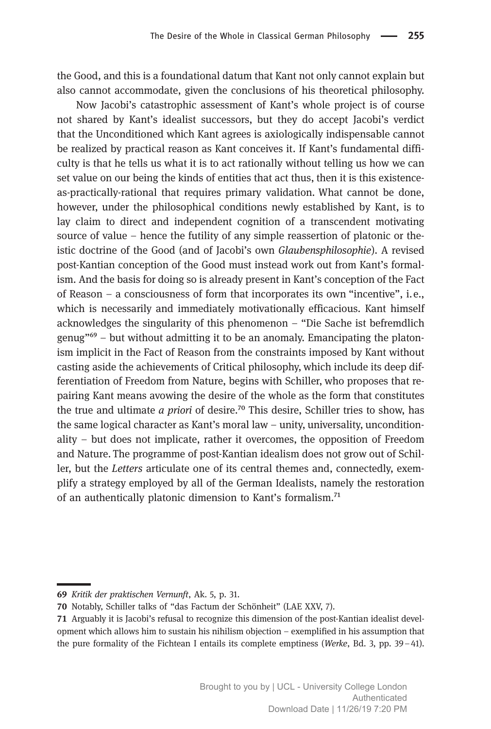the Good, and this is a foundational datum that Kant not only cannot explain but also cannot accommodate, given the conclusions of his theoretical philosophy.

Now Jacobi's catastrophic assessment of Kant's whole project is of course not shared by Kant's idealist successors, but they do accept Jacobi's verdict that the Unconditioned which Kant agrees is axiologically indispensable cannot be realized by practical reason as Kant conceives it. If Kant's fundamental difficulty is that he tells us what it is to act rationally without telling us how we can set value on our being the kinds of entities that act thus, then it is this existenceas-practically-rational that requires primary validation. What cannot be done, however, under the philosophical conditions newly established by Kant, is to lay claim to direct and independent cognition of a transcendent motivating source of value – hence the futility of any simple reassertion of platonic or theistic doctrine of the Good (and of Jacobi's own Glaubensphilosophie). A revised post-Kantian conception of the Good must instead work out from Kant's formalism. And the basis for doing so is already present in Kant's conception of the Fact of Reason – a consciousness of form that incorporates its own "incentive", i.e., which is necessarily and immediately motivationally efficacious. Kant himself acknowledges the singularity of this phenomenon – "Die Sache ist befremdlich genug<sup>" $\ddot{\theta}$ </sup> – but without admitting it to be an anomaly. Emancipating the platonism implicit in the Fact of Reason from the constraints imposed by Kant without casting aside the achievements of Critical philosophy, which include its deep differentiation of Freedom from Nature, begins with Schiller, who proposes that repairing Kant means avowing the desire of the whole as the form that constitutes the true and ultimate *a priori* of desire.<sup>70</sup> This desire, Schiller tries to show, has the same logical character as Kant's moral law – unity, universality, unconditionality – but does not implicate, rather it overcomes, the opposition of Freedom and Nature. The programme of post-Kantian idealism does not grow out of Schiller, but the Letters articulate one of its central themes and, connectedly, exemplify a strategy employed by all of the German Idealists, namely the restoration of an authentically platonic dimension to Kant's formalism.<sup>71</sup>

<sup>69</sup> Kritik der praktischen Vernunft, Ak. 5, p. 31.

<sup>70</sup> Notably, Schiller talks of "das Factum der Schönheit" (LAE XXV, 7).

Arguably it is Jacobi's refusal to recognize this dimension of the post-Kantian idealist development which allows him to sustain his nihilism objection – exemplified in his assumption that the pure formality of the Fichtean I entails its complete emptiness (Werke, Bd. 3, pp. 39–41).